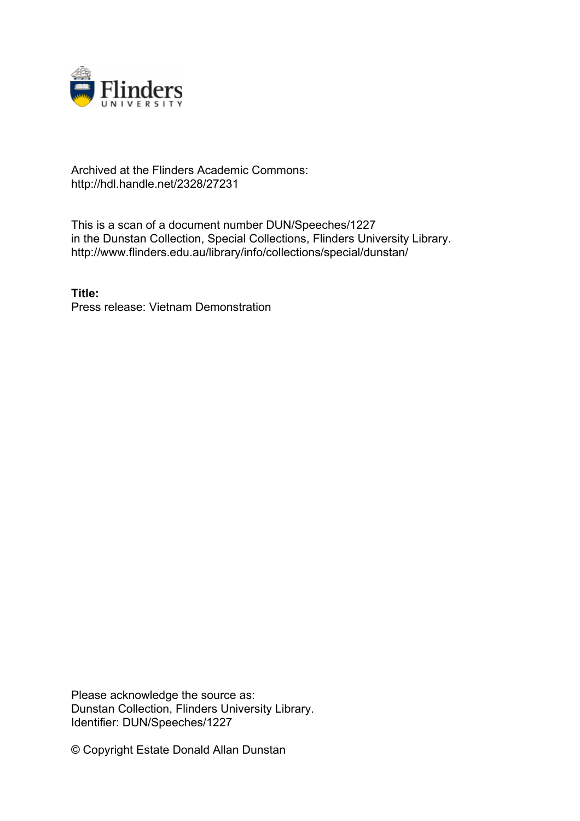

## Archived at the Flinders Academic Commons: http://hdl.handle.net/2328/27231

This is a scan of a document number DUN/Speeches/1227 in the Dunstan Collection, Special Collections, Flinders University Library. http://www.flinders.edu.au/library/info/collections/special/dunstan/

**Title:** Press release: Vietnam Demonstration

Please acknowledge the source as: Dunstan Collection, Flinders University Library. Identifier: DUN/Speeches/1227

© Copyright Estate Donald Allan Dunstan